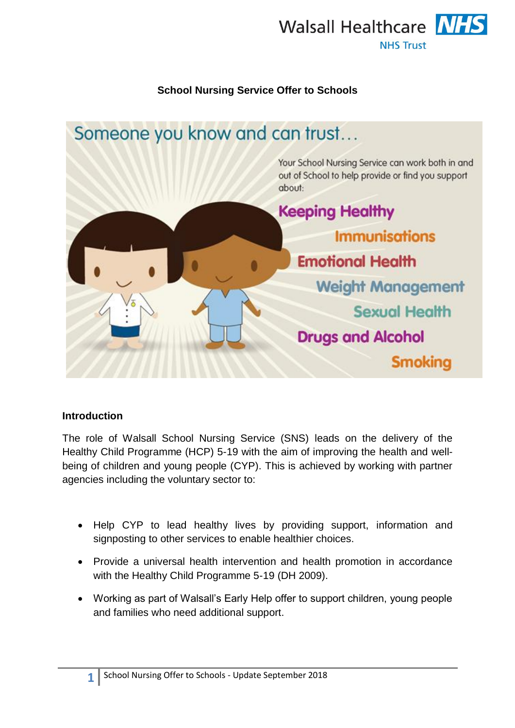

## **School Nursing Service Offer to Schools**



## **Introduction**

The role of Walsall School Nursing Service (SNS) leads on the delivery of the Healthy Child Programme (HCP) 5-19 with the aim of improving the health and wellbeing of children and young people (CYP). This is achieved by working with partner agencies including the voluntary sector to:

- Help CYP to lead healthy lives by providing support, information and signposting to other services to enable healthier choices.
- Provide a universal health intervention and health promotion in accordance with the Healthy Child Programme 5-19 (DH 2009).
- Working as part of Walsall's Early Help offer to support children, young people and families who need additional support.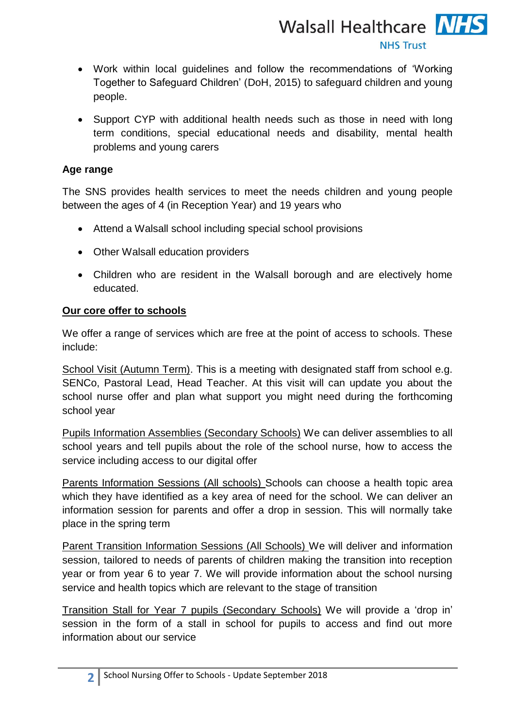

- Work within local guidelines and follow the recommendations of 'Working Together to Safeguard Children' (DoH, 2015) to safeguard children and young people.
- Support CYP with additional health needs such as those in need with long term conditions, special educational needs and disability, mental health problems and young carers

# **Age range**

The SNS provides health services to meet the needs children and young people between the ages of 4 (in Reception Year) and 19 years who

- Attend a Walsall school including special school provisions
- Other Walsall education providers
- Children who are resident in the Walsall borough and are electively home educated.

# **Our core offer to schools**

We offer a range of services which are free at the point of access to schools. These include:

School Visit (Autumn Term). This is a meeting with designated staff from school e.g. SENCo, Pastoral Lead, Head Teacher. At this visit will can update you about the school nurse offer and plan what support you might need during the forthcoming school year

Pupils Information Assemblies (Secondary Schools) We can deliver assemblies to all school years and tell pupils about the role of the school nurse, how to access the service including access to our digital offer

Parents Information Sessions (All schools) Schools can choose a health topic area which they have identified as a key area of need for the school. We can deliver an information session for parents and offer a drop in session. This will normally take place in the spring term

Parent Transition Information Sessions (All Schools) We will deliver and information session, tailored to needs of parents of children making the transition into reception year or from year 6 to year 7. We will provide information about the school nursing service and health topics which are relevant to the stage of transition

Transition Stall for Year 7 pupils (Secondary Schools) We will provide a 'drop in' session in the form of a stall in school for pupils to access and find out more information about our service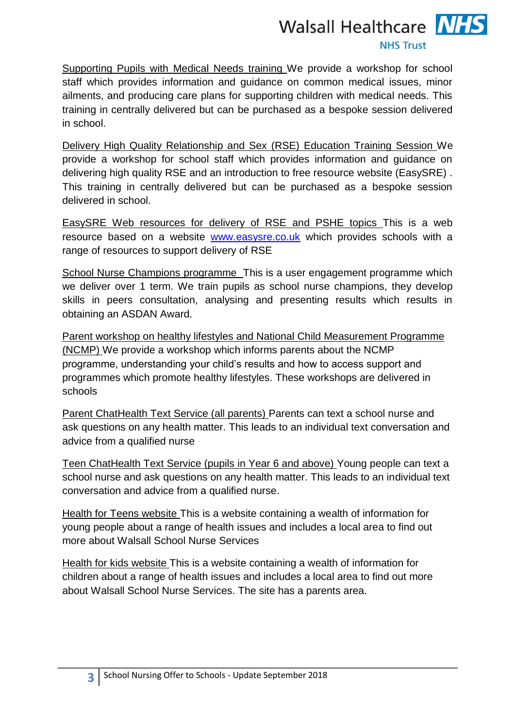# **Walsall Healthcare NHS NHS Trust**

Supporting Pupils with Medical Needs training We provide a workshop for school staff which provides information and guidance on common medical issues, minor ailments, and producing care plans for supporting children with medical needs. This training in centrally delivered but can be purchased as a bespoke session delivered in school.

Delivery High Quality Relationship and Sex (RSE) Education Training Session We provide a workshop for school staff which provides information and guidance on delivering high quality RSE and an introduction to free resource website (EasySRE) . This training in centrally delivered but can be purchased as a bespoke session delivered in school.

EasySRE Web resources for delivery of RSE and PSHE topics This is a web resource based on a website [www.easysre.co.uk](http://www.easysre.co.uk/) which provides schools with a range of resources to support delivery of RSE

School Nurse Champions programme This is a user engagement programme which we deliver over 1 term. We train pupils as school nurse champions, they develop skills in peers consultation, analysing and presenting results which results in obtaining an ASDAN Award.

Parent workshop on healthy lifestyles and National Child Measurement Programme (NCMP) We provide a workshop which informs parents about the NCMP programme, understanding your child's results and how to access support and programmes which promote healthy lifestyles. These workshops are delivered in schools

Parent ChatHealth Text Service (all parents) Parents can text a school nurse and ask questions on any health matter. This leads to an individual text conversation and advice from a qualified nurse

Teen ChatHealth Text Service (pupils in Year 6 and above) Young people can text a school nurse and ask questions on any health matter. This leads to an individual text conversation and advice from a qualified nurse.

Health for Teens website This is a website containing a wealth of information for young people about a range of health issues and includes a local area to find out more about Walsall School Nurse Services

Health for kids website This is a website containing a wealth of information for children about a range of health issues and includes a local area to find out more about Walsall School Nurse Services. The site has a parents area.